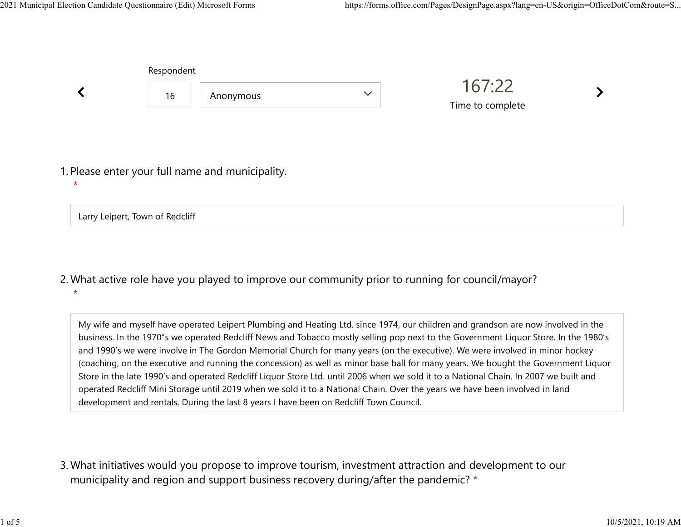|         | Respondent                      |                                                  |              |                            |  |
|---------|---------------------------------|--------------------------------------------------|--------------|----------------------------|--|
|         | 16                              | Anonymous                                        | $\checkmark$ | 167:22<br>Time to complete |  |
| $\star$ |                                 | 1. Please enter your full name and municipality. |              |                            |  |
|         | Larry Leipert, Town of Redcliff |                                                  |              |                            |  |

What active role have you played to improve our community prior to running for council/mayor? 2. \*

My wife and myself have operated Leipert Plumbing and Heating Ltd. since 1974, our children and grandson are now involved in the business. In the 1970"s we operated Redcliff News and Tobacco mostly selling pop next to the Government Liquor Store. In the 1980's and 1990's we were involve in The Gordon Memorial Church for many years (on the executive). We were involved in minor hockey (coaching, on the executive and running the concession) as well as minor base ball for many years. We bought the Government Liquor Store in the late 1990's and operated Redcliff Liquor Store Ltd. until 2006 when we sold it to a National Chain. In 2007 we built and operated Redcliff Mini Storage until 2019 when we sold it to a National Chain. Over the years we have been involved in land development and rentals. During the last 8 years I have been on Redcliff Town Council.

What initiatives would you propose to improve tourism, investment attraction and development to our 3. municipality and region and support business recovery during/after the pandemic? \*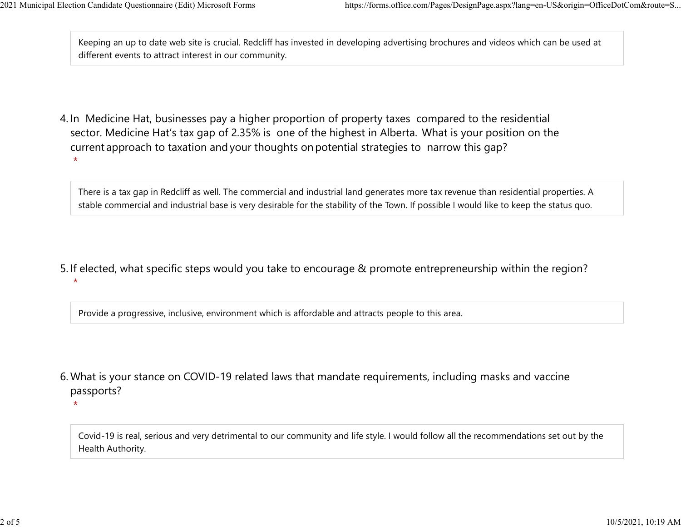$\star$ 

 $\star$ 

Keeping an up to date web site is crucial. Redcliff has invested in developing advertising brochures and videos which can be used at different events to attract interest in our community. 2021 Municipal Election Candidate Questionnaire (Edit) Microsoft Forms https://forms.office.com/Pages/DesignPage.aspx?lang=en-US&origin=OfficeDotCom&route=S...<br>Keeping an up to date web site is crucial. Redcliff has invest

4. In Medicine Hat, businesses pay a higher proportion of property taxes compared to the residential sector.  Medicine Hat's tax gap of 2.35% is one of the highest in Alberta.  What is your position on the current approach to taxation and your thoughts on potential strategies to narrow this gap? \*

There is a tax gap in Redcliff as well. The commercial and industrial land generates more tax revenue than residential properties. A stable commercial and industrial base is very desirable for the stability of the Town. If possible I would like to keep the status quo.

5. If elected, what specific steps would you take to encourage & promote entrepreneurship within the region?

Provide a progressive, inclusive, environment which is affordable and attracts people to this area.

What is your stance on COVID-19 related laws that mandate requirements, including masks and vaccine 6. passports?

Covid-19 is real, serious and very detrimental to our community and life style. I would follow all the recommendations set out by the Health Authority.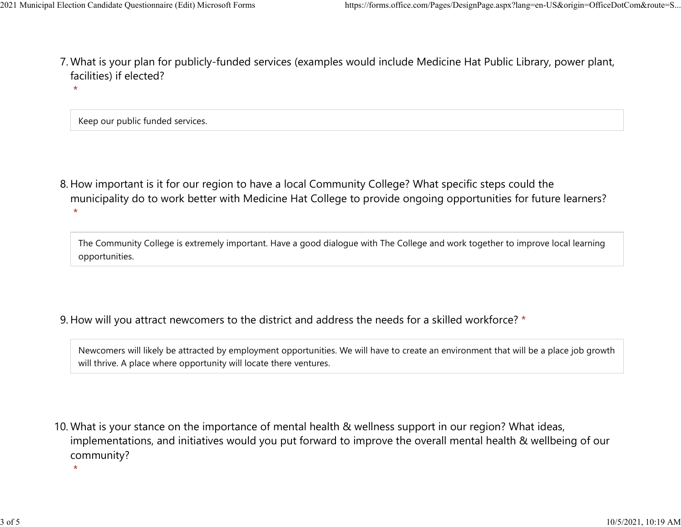- What is your plan for publicly-funded services (examples would include Medicine Hat Public Library, power plant, 7. facilities) if elected? 2021 Municipal Election Candidate Questionnaire (Edit) Microsoft Forms https://forms.office.com/Pages/DesignPage.aspx?lang=en-US&origin=OfficeDotCom&route=S...<br>7 Mhat is vour plan for publicly-funded services (examples wou
	- \*

Keep our public funded services.

\*

8. How important is it for our region to have a local Community College? What specific steps could the municipality do to work better with Medicine Hat College to provide ongoing opportunities for future learners? \*

The Community College is extremely important. Have a good dialogue with The College and work together to improve local learning opportunities.

9. How will you attract newcomers to the district and address the needs for a skilled workforce? \*

Newcomers will likely be attracted by employment opportunities. We will have to create an environment that will be a place job growth will thrive. A place where opportunity will locate there ventures.

10. What is your stance on the importance of mental health & wellness support in our region? What ideas, implementations, and initiatives would you put forward to improve the overall mental health & wellbeing of our community?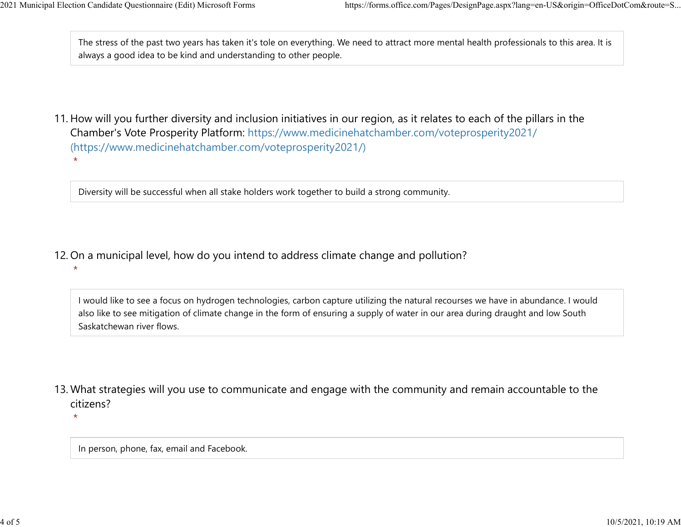The stress of the past two years has taken it's tole on everything. We need to attract more mental health professionals to this area. It is always a good idea to be kind and understanding to other people. 2021 Municipal Election Candidate Questionnaire (Edit) Microsoft Forms https://forms.office.com/Pages/DesignPage.aspx?lang=en-US&origin=OfficeDotCom&route=S...<br>The stress of the past two years has taken it's tole on everyt

11. How will you further diversity and inclusion initiatives in our region, as it relates to each of the pillars in the Chamber's Vote Prosperity Platform: https://www.medicinehatchamber.com/voteprosperity2021/ (https://www.medicinehatchamber.com/voteprosperity2021/) \*

Diversity will be successful when all stake holders work together to build a strong community.

- 12. On a municipal level, how do you intend to address climate change and pollution?
	- I would like to see a focus on hydrogen technologies, carbon capture utilizing the natural recourses we have in abundance. I would also like to see mitigation of climate change in the form of ensuring a supply of water in our area during draught and low South Saskatchewan river flows.
- 13. What strategies will you use to communicate and engage with the community and remain accountable to the citizens?

 $\star$ 

\*

In person, phone, fax, email and Facebook.